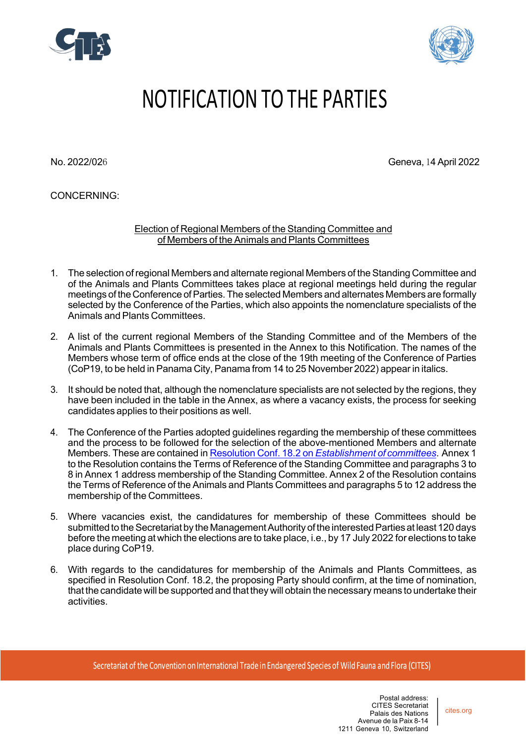



# NOTIFICATION TO THE PARTIES

No. 2022/026 Geneva, 14 April 2022

CONCERNING:

Election of Regional Members of the Standing Committee and of Members of the Animals and Plants Committees

- 1. The selection ofregional Members and alternate regional Members of the Standing Committee and of the Animals and Plants Committees takes place at regional meetings held during the regular meetings of the Conference of Parties. The selected Members and alternates Members are formally selected by the Conference of the Parties, which also appoints the nomenclature specialists of the Animals and Plants Committees.
- 2. A list of the current regional Members of the Standing Committee and of the Members of the Animals and Plants Committees is presented in the Annex to this Notification. The names of the Members whose term of office ends at the close of the 19th meeting of the Conference of Parties (CoP19, to be held in Panama City, Panama from 14 to 25 November 2022) appear in italics.
- 3. It should be noted that, although the nomenclature specialists are not selected by the regions, they have been included in the table in the Annex, as where a vacancy exists, the process for seeking candidates applies to their positions as well.
- 4. The Conference of the Parties adopted guidelines regarding the membership of these committees and the process to be followed for the selection of the above-mentioned Members and alternate Members. These are contained in Resolution Conf. 18.2 on *Establishment of committees*. Annex 1 to the Resolution contains the Terms of Reference of the Standing Committee and paragraphs 3 to 8 in Annex 1 address membership of the Standing Committee. Annex 2 of the Resolution contains the Terms of Reference of the Animals and Plants Committees and paragraphs 5 to 12 address the membership of the Committees.
- 5. Where vacancies exist, the candidatures for membership of these Committees should be submitted to the Secretariat by the Management Authority of the interested Parties at least 120 days before the meeting at which the elections are to take place, i.e., by 17 July 2022 for elections to take place during CoP19.
- 6. With regards to the candidatures for membership of the Animals and Plants Committees, as specified in Resolution Conf. 18.2, the proposing Party should confirm, at the time of nomination, that the candidate will be supported and that they will obtain the necessary means to undertake their activities.

cites.org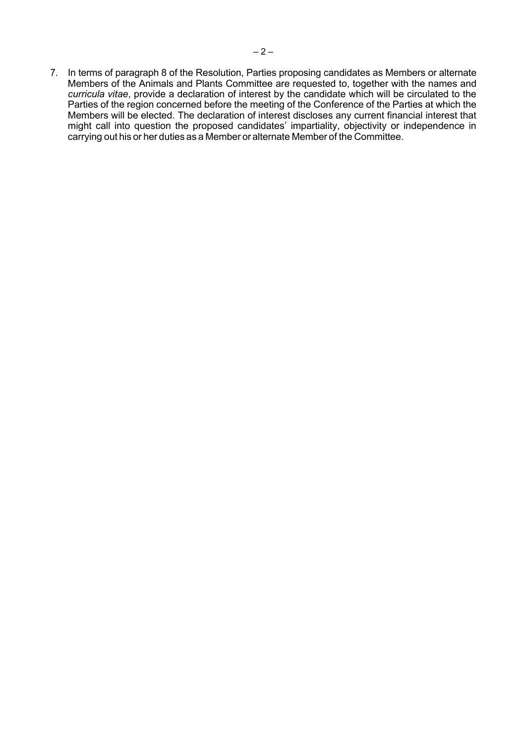7. In terms of paragraph 8 of the Resolution, Parties proposing candidates as Members or alternate Members of the Animals and Plants Committee are requested to, together with the names and *curricula vitae*, provide a declaration of interest by the candidate which will be circulated to the Parties of the region concerned before the meeting of the Conference of the Parties at which the Members will be elected. The declaration of interest discloses any current financial interest that might call into question the proposed candidates' impartiality, objectivity or independence in carrying out his or her duties as a Member or alternate Member of the Committee.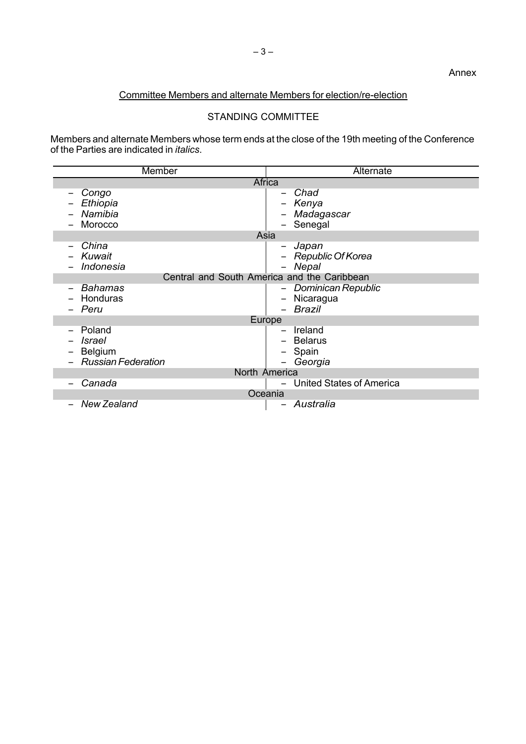## Committee Members and alternate Members for election/re-election

# STANDING COMMITTEE

Members and alternate Members whose term ends at the close of the 19th meeting of the Conference of the Parties are indicated in *italics*.

| Member                                                                                             | Alternate                                        |  |
|----------------------------------------------------------------------------------------------------|--------------------------------------------------|--|
| Africa                                                                                             |                                                  |  |
| Congo<br>Ethiopia<br>Namibia<br>Morocco                                                            | Chad<br>Kenya<br>Madagascar<br>Senegal<br>Asia   |  |
| China                                                                                              | Japan                                            |  |
| Kuwait<br>Indonesia                                                                                | -<br>- Republic Of Korea<br>Nepal                |  |
| Central and South America and the Caribbean                                                        |                                                  |  |
| <b>Bahamas</b><br>Honduras<br>Peru                                                                 | Dominican Republic<br>Nicaragua<br><b>Brazil</b> |  |
| Europe                                                                                             |                                                  |  |
| Poland<br>$\overline{\phantom{0}}$<br><b>Israel</b><br><b>Belgium</b><br><b>Russian Federation</b> | Ireland<br>- Belarus<br>Spain<br>Georgia         |  |
| North America                                                                                      |                                                  |  |
| Canada                                                                                             | <b>United States of America</b>                  |  |
| Oceania                                                                                            |                                                  |  |
| <b>New Zealand</b>                                                                                 | Australia                                        |  |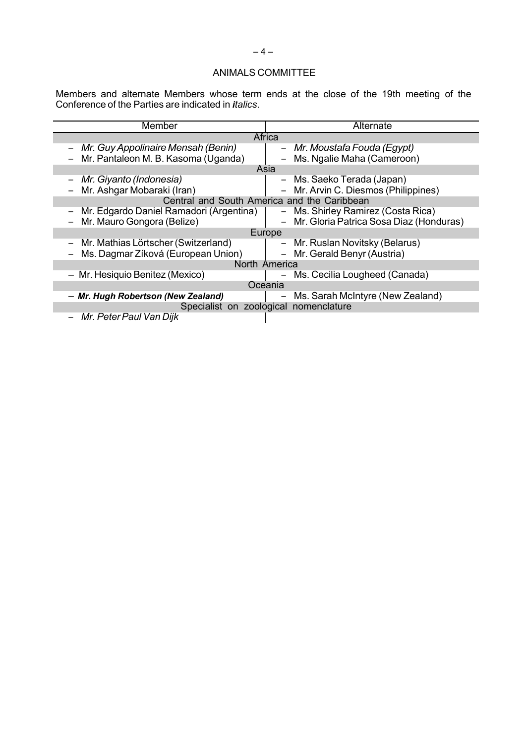#### ANIMALS COMMITTEE

Members and alternate Members whose term ends at the close of the 19th meeting of the Conference of the Parties are indicated in *italics*.

| Member                                      | Alternate                                             |  |
|---------------------------------------------|-------------------------------------------------------|--|
| Africa                                      |                                                       |  |
| - Mr. Guy Appolinaire Mensah (Benin)        | - Mr. Moustafa Fouda (Egypt)                          |  |
| - Mr. Pantaleon M. B. Kasoma (Uganda)       | Ms. Ngalie Maha (Cameroon)                            |  |
| Asia                                        |                                                       |  |
| Mr. Giyanto (Indonesia)                     | - Ms. Saeko Terada (Japan)                            |  |
| Mr. Ashgar Mobaraki (Iran)                  | - Mr. Arvin C. Diesmos (Philippines)                  |  |
| Central and South America and the Caribbean |                                                       |  |
| Mr. Edgardo Daniel Ramadori (Argentina)     | - Ms. Shirley Ramirez (Costa Rica)                    |  |
| Mr. Mauro Gongora (Belize)                  | - Mr. Gloria Patrica Sosa Diaz (Honduras)             |  |
| Europe                                      |                                                       |  |
| Mr. Mathias Lörtscher (Switzerland)         | - Mr. Ruslan Novitsky (Belarus)                       |  |
| Ms. Dagmar Zíková (European Union)          | - Mr. Gerald Benyr (Austria)                          |  |
| North America                               |                                                       |  |
| - Mr. Hesiquio Benitez (Mexico)             | Ms. Cecilia Lougheed (Canada)                         |  |
| Oceania                                     |                                                       |  |
| - Mr. Hugh Robertson (New Zealand)          | Ms. Sarah McIntyre (New Zealand)<br>$\qquad \qquad -$ |  |
| Specialist on zoological nomenclature       |                                                       |  |
| Mr. Peter Paul Van Dijk                     |                                                       |  |